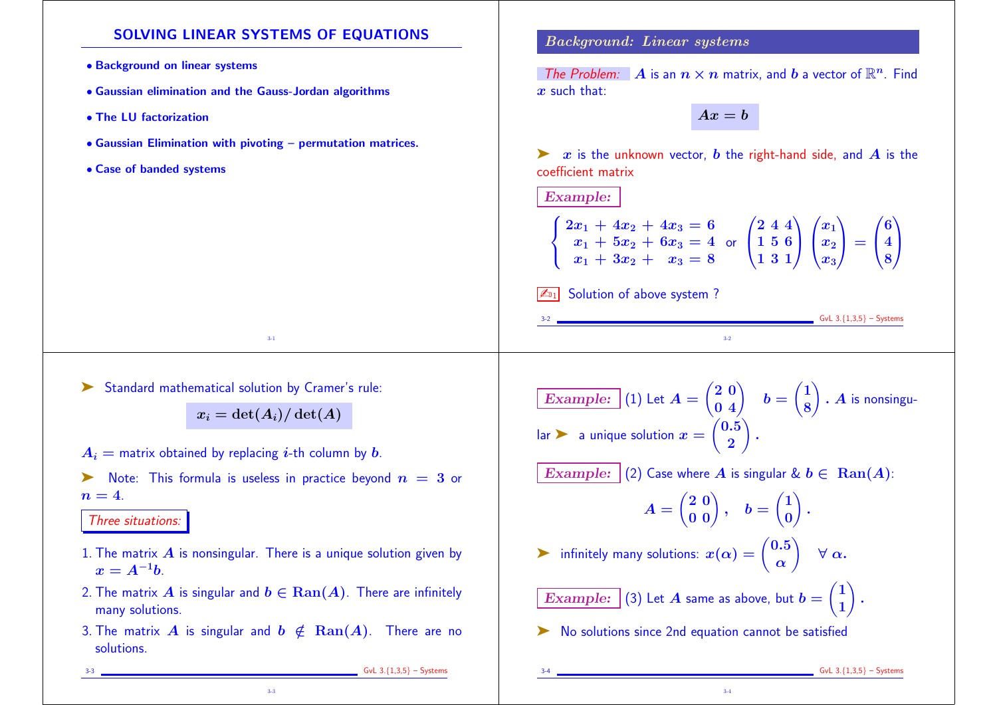## SOLVING LINEAR SYSTEMS OF EQUATIONS

- Background on linear systems
- Gaussian elimination and the Gauss-Jordan algorithms
- The LU factorization
- Gaussian Elimination with pivoting permutation matrices.
- Case of banded systems

#### Background: Linear systems

The Problem:  $\mathbf{A}$  is an  $n \times n$  matrix, and  $b$  a vector of  $\mathbb{R}^n$ . Find  $x$  such that:

 $Ax = b$ 

 $\triangleright$  x is the unknown vector, b the right-hand side, and A is the coefficient matrix

Example:

| $\begin{cases} 2x_1 + 4x_2 + 4x_3 = 6 \\ x_1 + 5x_2 + 6x_3 = 4 \\ x_1 + 3x_2 + x_3 = 8 \end{cases}$ or $\begin{pmatrix} 2 & 4 & 4 \\ 1 & 5 & 6 \\ 1 & 3 & 1 \end{pmatrix} \begin{pmatrix} x_1 \\ x_2 \\ x_3 \end{pmatrix} = \begin{pmatrix} 6 \\ 4 \\ 8 \end{pmatrix}$ |  |
|------------------------------------------------------------------------------------------------------------------------------------------------------------------------------------------------------------------------------------------------------------------------|--|

Solution of above system ?

 $GvL$  3.{1,3,5} – Systems

➤ Standard mathematical solution by Cramer's rule:

 $x_i = \det(A_i)/\det(A)$ 

3-1

 $A_i$  = matrix obtained by replacing *i*-th column by *b*.

 $\triangleright$  Note: This formula is useless in practice beyond  $n = 3$  or  $n = 4$ .

Three situations:

- 1. The matrix  $\vec{A}$  is nonsingular. There is a unique solution given by  $x = A^{-1}b$ .
- 2. The matrix A is singular and  $b \in \text{Ran}(A)$ . There are infinitely many solutions.
- 3. The matrix A is singular and  $b \notin \text{Ran}(A)$ . There are no solutions.

3-3

Example:  $(1)$  Let  $A = \begin{bmatrix} 1 \end{bmatrix}$  $\begin{pmatrix} 2 & 0 \\ 0 & 4 \end{pmatrix}$   $b = \begin{pmatrix} 1 & 0 \\ 0 & 0 \end{pmatrix}$  $(1)$ 8  $\sum_{i=1}^{n}$  $A$  is nonsingu- $\mathsf{lar} \blacktriangleright$  a unique solution  $x = \lceil$  $(0.5)$ 2  $\sum_{i=1}^{n}$ . Example: (2) Case where A is singular &  $b \in \text{Ran}(A)$ :

3-2

$$
A = \begin{pmatrix} 2 & 0 \\ 0 & 0 \end{pmatrix}, \quad b = \begin{pmatrix} 1 \\ 0 \end{pmatrix}.
$$

3-4

infinitely many solutions:  $x(\alpha) = \begin{pmatrix} 0.5 \ \alpha \end{pmatrix}$  $\alpha$  $\sum_{i=1}^{n}$  $\forall \alpha.$ 

 $Example: \vert (3)$  Let  $A$  same as above, but  $b = \vert$  $(1)$ 1  $\sum_{i=1}^{n}$ .

➤ No solutions since 2nd equation cannot be satisfied

3-3 GvL 3.{1,3,5} – Systems

 $GvL$  3. ${1,3,5}$  – Systems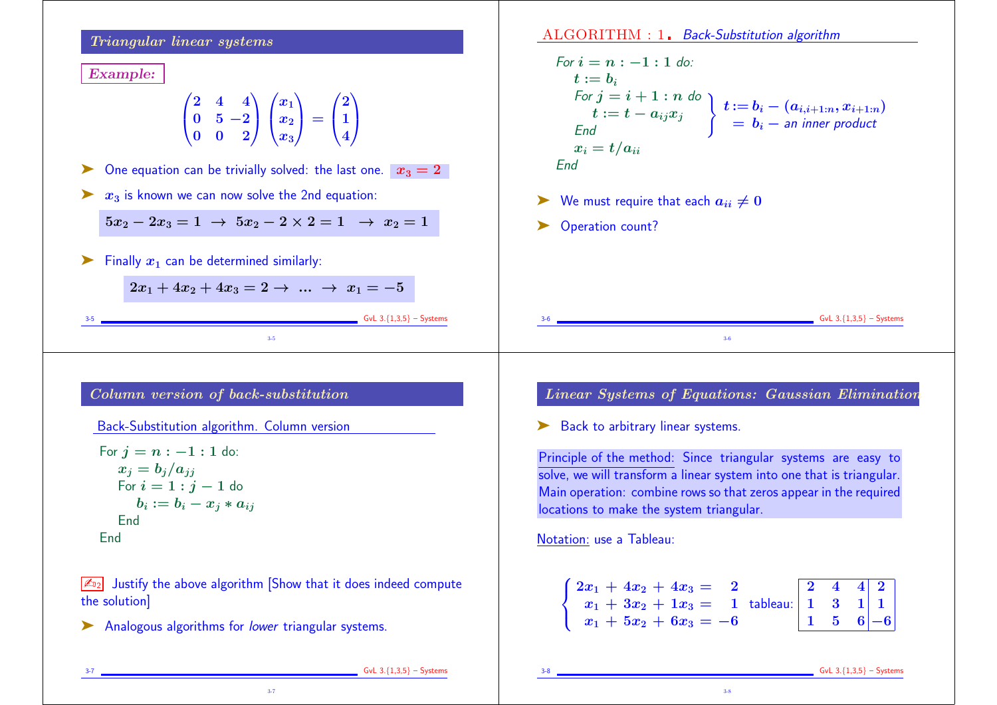### Triangular linear systems

Example:

$$
\begin{pmatrix}2&4&4\\0&5&-2\\0&0&2\end{pmatrix}\begin{pmatrix}x_1\\x_2\\x_3\end{pmatrix}=\begin{pmatrix}2\\1\\4\end{pmatrix}
$$

ightharpoonup C one equation can be trivially solved: the last one.  $x_3 = 2$ 

 $\triangleright$   $x_3$  is known we can now solve the 2nd equation:

 $5x_2 - 2x_3 = 1 \rightarrow 5x_2 - 2 \times 2 = 1 \rightarrow x_2 = 1$ 

 $\triangleright$  Finally  $x_1$  can be determined similarly:

 $2x_1 + 4x_2 + 4x_3 = 2 \rightarrow \dots \rightarrow x_1 = -5$ 

3-5 GvL 3.{1,3,5} – Systems 3-5

# Column version of back-substitution

Back-Substitution algorithm. Column version

For 
$$
j = n : -1 : 1
$$
 do:  $x_j = b_j/a_{jj}$  For  $i = 1 : j - 1$  do  $b_i := b_i - x_j * a_{ij}$  End

 $\sqrt{\mathbb{Z}_{D2}}$  Justify the above algorithm Show that it does indeed compute the solution]

3-7

▶ Analogous algorithms for lower triangular systems.

ALGORITHM : 1. Back-Substitution algorithm

For 
$$
i = n : -1 : 1
$$
 do:  
\n $t := b_i$   
\nFor  $j = i + 1 : n$  do  
\n $t := t - a_{ij}x_j$   
\nEnd  
\n $x_i = t/a_{ii}$   
\nEnd  
\n
$$
x_i = t/a_{ii}
$$

 $\triangleright$  We must require that each  $a_{ii} \neq 0$ 

Operation count?

 $S =$  GvL 3.{1,3,5} – Systems

# Linear Systems of Equations: Gaussian Elimination

3-6

► Back to arbitrary linear systems.

Principle of the method: Since triangular systems are easy to solve, we will transform a linear system into one that is triangular. Main operation: combine rows so that zeros appear in the required locations to make the system triangular.

Notation: use a Tableau:

| $\begin{cases} 2x_1 + 4x_2 + 4x_3 = 2 \\ x_1 + 3x_2 + 1x_3 = 1 \\ x_1 + 5x_2 + 6x_3 = -6 \end{cases}$ tableau: $\begin{bmatrix} 2 & 4 & 4 & 2 \\ 1 & 3 & 1 & 1 \\ 1 & 5 & 6 & -6 \end{bmatrix}$ |  |  |
|-------------------------------------------------------------------------------------------------------------------------------------------------------------------------------------------------|--|--|

3-8

3-7 GvL 3.{1,3,5} – Systems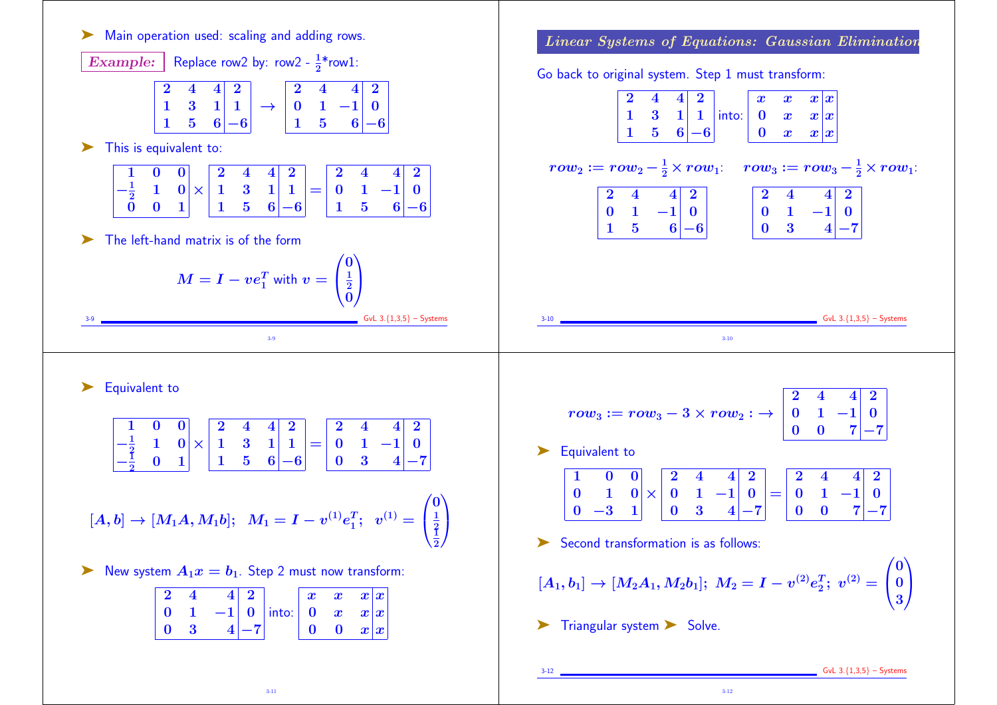

3-12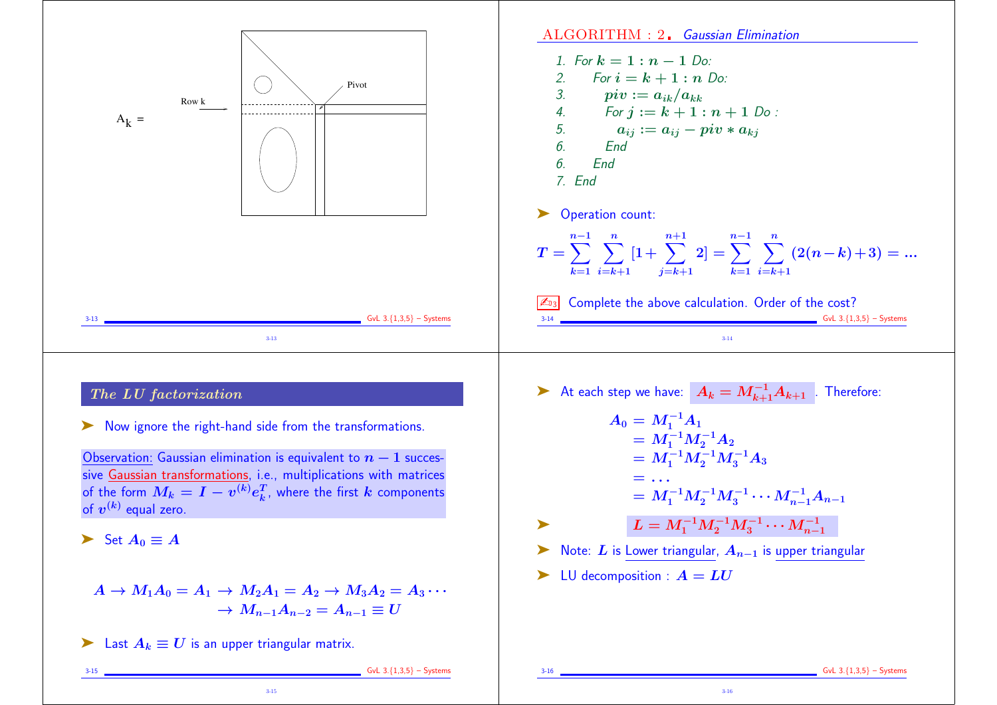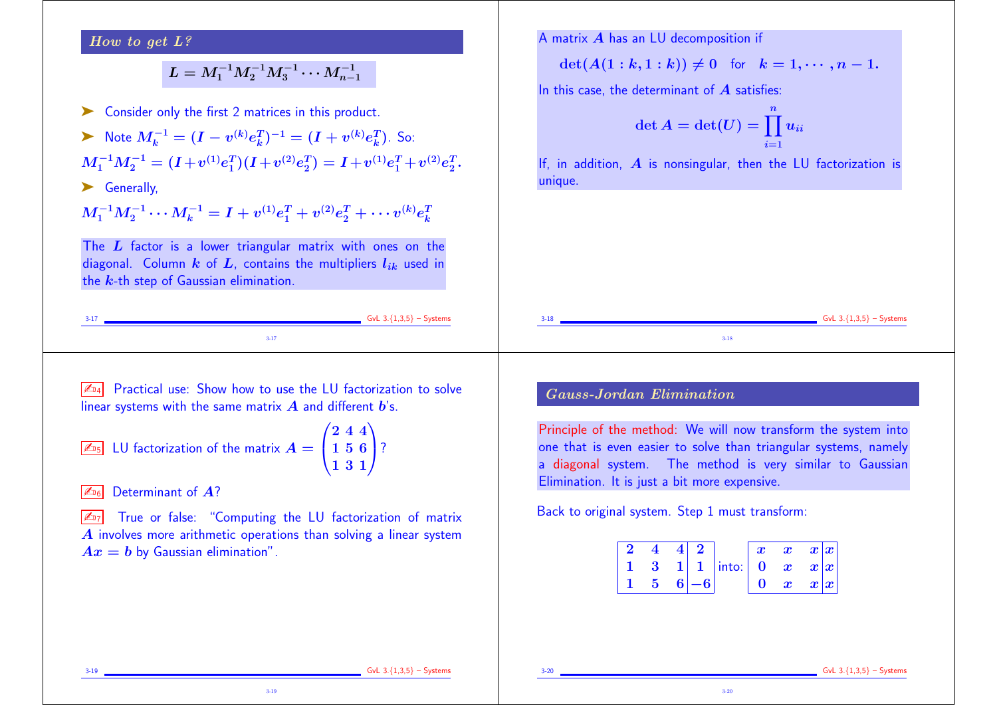#### How to get L?

# $L = M_1^{-1} M_2^{-1} M_3^{-1} \cdots M_{n-1}^{-1}$

Consider only the first 2 matrices in this product. ► Note  $M_k^{-1} = (I - v^{(k)}e_k^T)^{-1} = (I + v^{(k)}e_k^T)$ . So:

 $M_1^{-1}M_2^{-1}=(I+v^{(1)}e_1^T)(I+v^{(2)}e_2^T)=I+v^{(1)}e_1^T+v^{(2)}e_2^T.$  $\frac{T}{2}$ .

▶ Generally,

 $M_1^{-1}M_2^{-1}\cdots M_k^{-1}=I+v^{(1)}e_1^T+v^{(2)}e_2^T+\cdots v^{(k)}e_k^T$ k

The  $L$  factor is a lower triangular matrix with ones on the diagonal. Column  $k$  of  $L$ , contains the multipliers  $l_{ik}$  used in the  $k$ -th step of Gaussian elimination.

#### A matrix  $A$  has an LU decomposition if

 $\det(A(1 : k, 1 : k)) \neq 0$  for  $k = 1, \dots, n - 1$ .

In this case, the determinant of  $A$  satisfies:

$$
\det A = \det(U) = \prod_{i=1}^n u_{ii}
$$

If, in addition,  $\vec{A}$  is nonsingular, then the LU factorization is unique.

| . |  |        | give 3.4 $\mu$ |
|---|--|--------|----------------|
|   |  | $3-18$ |                |

 $\sqrt{\mathbb{Z}_{D4}}$  Practical use: Show how to use the LU factorization to solve linear systems with the same matrix  $\bm{A}$  and different  $\bm{b}$ 's.

$$
\boxed{\mathbb{Z}_{\text{b}}} \text{ LU factorization of the matrix } A = \begin{pmatrix} 2 & 4 & 4 \\ 1 & 5 & 6 \\ 1 & 3 & 1 \end{pmatrix}
$$
?

 $\mathbb{Z}_{6}$  Determinant of  $\mathbb{A}$ ?

 $\sqrt{\mathbb{Z}_{D7}}$  True or false: "Computing the LU factorization of matrix A involves more arithmetic operations than solving a linear system  $Ax = b$  by Gaussian elimination".

3-19

## Gauss-Jordan Elimination

Principle of the method: We will now transform the system into one that is even easier to solve than triangular systems, namely a diagonal system. The method is very similar to Gaussian Elimination. It is just a bit more expensive.

Back to original system. Step 1 must transform:

|  |  |                                                                                           | $\boldsymbol{x}$ | $\boldsymbol{x}=\boldsymbol{x} \boldsymbol{x} $  |  |
|--|--|-------------------------------------------------------------------------------------------|------------------|--------------------------------------------------|--|
|  |  | $\begin{vmatrix} 3 & 1 & 1 \end{vmatrix}$ into: $\begin{vmatrix} 0 & x & x \end{vmatrix}$ |                  |                                                  |  |
|  |  |                                                                                           |                  | $\begin{bmatrix} 0 & x & x   x \\ \end{bmatrix}$ |  |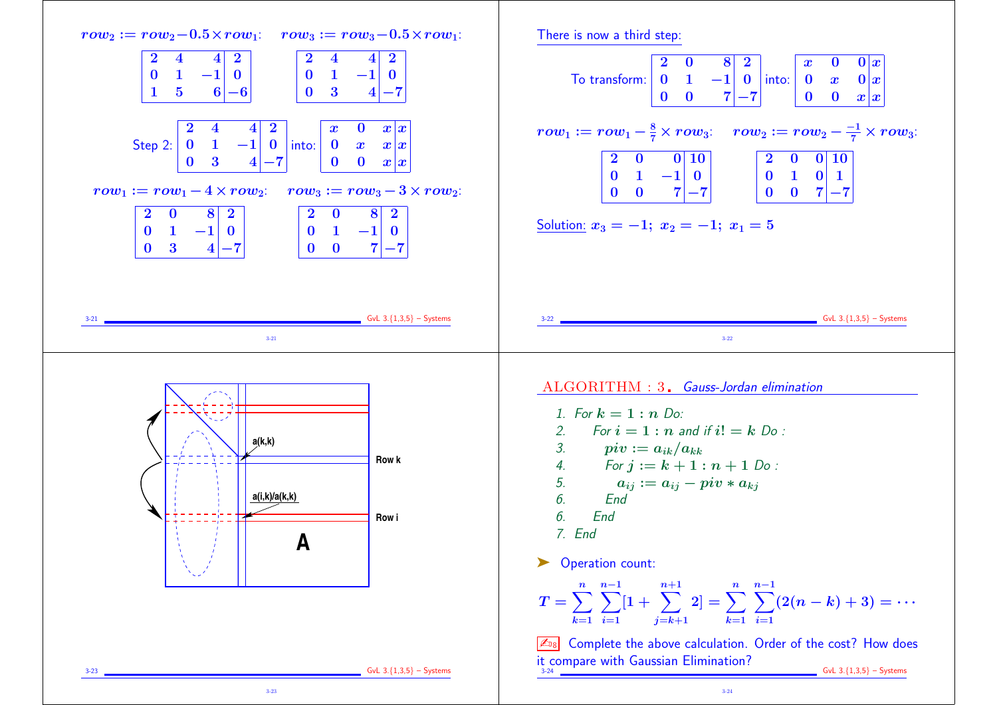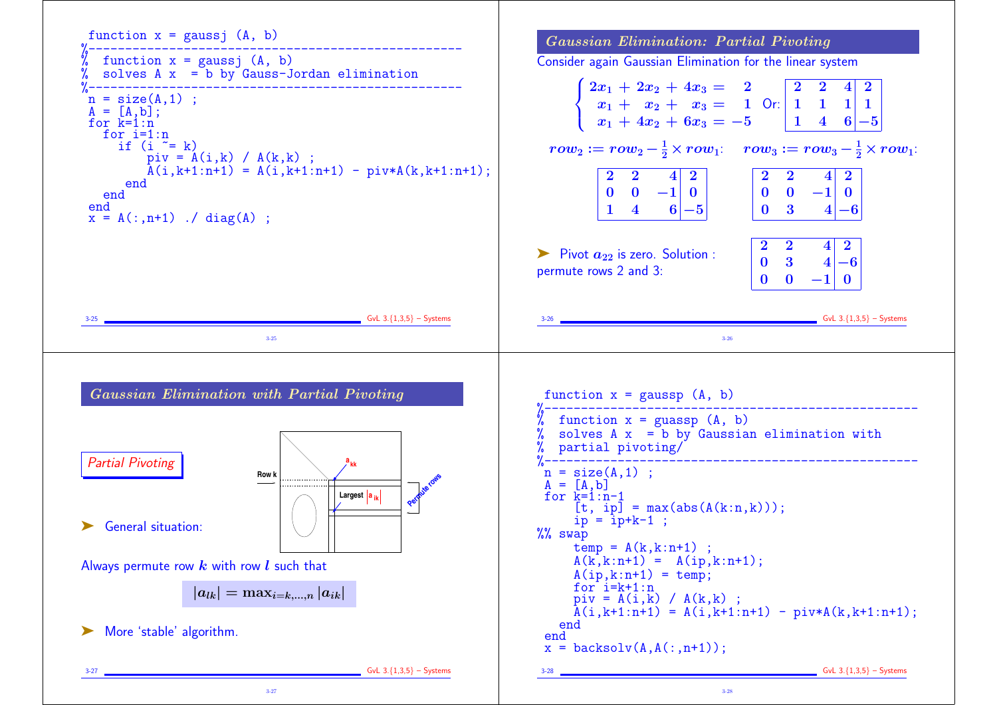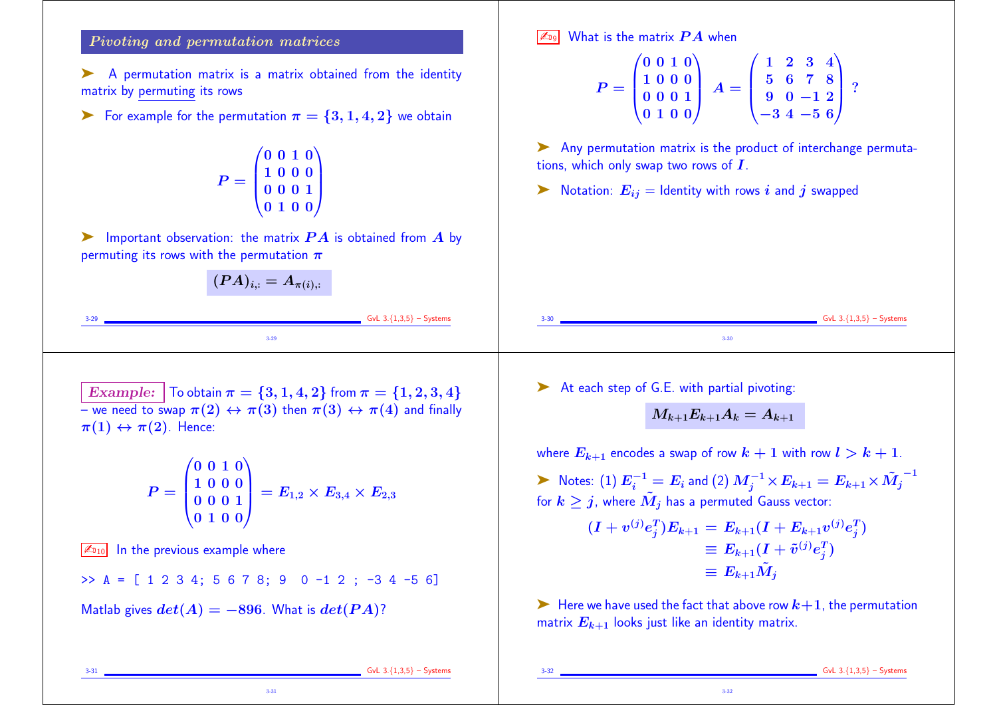#### Pivoting and permutation matrices

A permutation matrix is a matrix obtained from the identity matrix by permuting its rows

 $\triangleright$  For example for the permutation  $\pi = \{3, 1, 4, 2\}$  we obtain

$$
P=\left(\begin{matrix}0&0&1&0\\1&0&0&0\\0&0&0&1\\0&1&0&0\end{matrix}\right)
$$

 $\blacktriangleright$  Important observation: the matrix  $PA$  is obtained from A by permuting its rows with the permutation  $\pi$ 

$$
(PA)_{i,:}=A_{\pi(i),:}
$$

Matlab gives  $det(A) = -896$ . What is  $det(PA)$ ?

3-31

What is the matrix  $\boldsymbol{P} \boldsymbol{A}$  when

$$
P = \begin{pmatrix} 0 & 0 & 1 & 0 \\ 1 & 0 & 0 & 0 \\ 0 & 0 & 0 & 1 \\ 0 & 1 & 0 & 0 \end{pmatrix} A = \begin{pmatrix} 1 & 2 & 3 & 4 \\ 5 & 6 & 7 & 8 \\ 9 & 0 & -1 & 2 \\ -3 & 4 & -5 & 6 \end{pmatrix} ?
$$

➤ Any permutation matrix is the product of interchange permutations, which only swap two rows of  $I$ .

 $\blacktriangleright$  Notation:  $E_{ij}$  = Identity with rows i and j swapped

3-29 3-30 Example:  $\vert$  To obtain  $\pi = \{3, 1, 4, 2\}$  from  $\pi = \{1, 2, 3, 4\}$ – we need to swap  $\pi(2) \leftrightarrow \pi(3)$  then  $\pi(3) \leftrightarrow \pi(4)$  and finally  $\pi(1) \leftrightarrow \pi(2)$ . Hence:  $P = |$  $\sqrt{0}$  $\begin{pmatrix} 1 \\ 0 \\ 0 \end{pmatrix}$  $0 0 1 0)$ 1 0 0 0 0 0 0 1 0 1 0 0  $\sum_{i=1}^{n}$  = E1,<sup>2</sup> × E3,<sup>4</sup> × E2,<sup>3</sup>  $\sqrt{\mathbb{Z}_{010}}$  In the previous example where  $\Rightarrow$  A = [ 1 2 3 4; 5 6 7 8; 9 0 -1 2 ; -3 4 -5 6] ➤ At each step of G.E. with partial pivoting:  $M_{k+1}E_{k+1}A_k = A_{k+1}$ where  $E_{k+1}$  encodes a swap of row  $k+1$  with row  $l > k+1$ .  $\blacktriangleright$  Notes: (1)  $E_i^{-1} = E_i$  and (2)  $M_j^{-1} \times E_{k+1} = E_{k+1} \times \tilde{M_j}^{-1}$ for  $k \geq j$ , where  $\tilde{M}_j$  has a permuted Gauss vector:  $(I + v^{(j)} e_j^T) E_{k+1} = E_{k+1} (I + E_{k+1} v^{(j)} e_j^T)$  $\equiv E_{k+1}(I + \tilde{v}^{(j)}e_j^T)$  $\equiv E_{k+1}\tilde{M}_i$ 

> $\blacktriangleright$  Here we have used the fact that above row  $k+1$ , the permutation matrix  $E_{k+1}$  looks just like an identity matrix.

> > 3-32

 $GvL$  3. ${1,3,5}$  – Systems

 $GvL$  3. ${1,3,5}$  – Systems